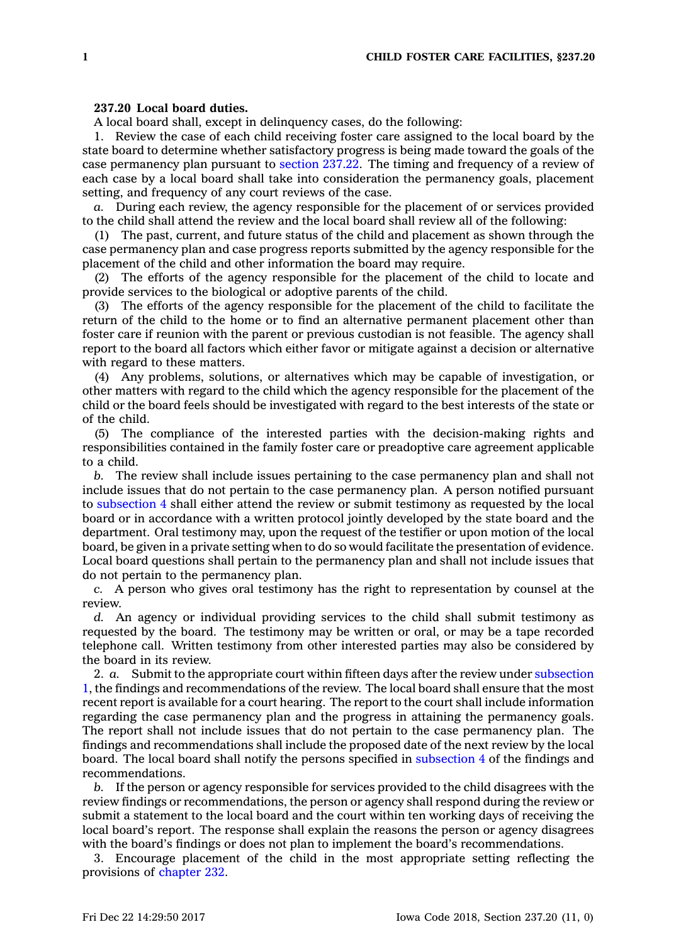## **237.20 Local board duties.**

A local board shall, except in delinquency cases, do the following:

1. Review the case of each child receiving foster care assigned to the local board by the state board to determine whether satisfactory progress is being made toward the goals of the case permanency plan pursuant to [section](https://www.legis.iowa.gov/docs/code/237.22.pdf) 237.22. The timing and frequency of <sup>a</sup> review of each case by <sup>a</sup> local board shall take into consideration the permanency goals, placement setting, and frequency of any court reviews of the case.

*a.* During each review, the agency responsible for the placement of or services provided to the child shall attend the review and the local board shall review all of the following:

(1) The past, current, and future status of the child and placement as shown through the case permanency plan and case progress reports submitted by the agency responsible for the placement of the child and other information the board may require.

(2) The efforts of the agency responsible for the placement of the child to locate and provide services to the biological or adoptive parents of the child.

(3) The efforts of the agency responsible for the placement of the child to facilitate the return of the child to the home or to find an alternative permanent placement other than foster care if reunion with the parent or previous custodian is not feasible. The agency shall report to the board all factors which either favor or mitigate against <sup>a</sup> decision or alternative with regard to these matters.

(4) Any problems, solutions, or alternatives which may be capable of investigation, or other matters with regard to the child which the agency responsible for the placement of the child or the board feels should be investigated with regard to the best interests of the state or of the child.

(5) The compliance of the interested parties with the decision-making rights and responsibilities contained in the family foster care or preadoptive care agreement applicable to <sup>a</sup> child.

*b.* The review shall include issues pertaining to the case permanency plan and shall not include issues that do not pertain to the case permanency plan. A person notified pursuant to [subsection](https://www.legis.iowa.gov/docs/code/237.20.pdf) 4 shall either attend the review or submit testimony as requested by the local board or in accordance with <sup>a</sup> written protocol jointly developed by the state board and the department. Oral testimony may, upon the request of the testifier or upon motion of the local board, be given in <sup>a</sup> private setting when to do so would facilitate the presentation of evidence. Local board questions shall pertain to the permanency plan and shall not include issues that do not pertain to the permanency plan.

*c.* A person who gives oral testimony has the right to representation by counsel at the review.

*d.* An agency or individual providing services to the child shall submit testimony as requested by the board. The testimony may be written or oral, or may be <sup>a</sup> tape recorded telephone call. Written testimony from other interested parties may also be considered by the board in its review.

2. *a.* Submit to the appropriate court within fifteen days after the review under [subsection](https://www.legis.iowa.gov/docs/code/237.20.pdf) [1](https://www.legis.iowa.gov/docs/code/237.20.pdf), the findings and recommendations of the review. The local board shall ensure that the most recent report is available for <sup>a</sup> court hearing. The report to the court shall include information regarding the case permanency plan and the progress in attaining the permanency goals. The report shall not include issues that do not pertain to the case permanency plan. The findings and recommendations shall include the proposed date of the next review by the local board. The local board shall notify the persons specified in [subsection](https://www.legis.iowa.gov/docs/code/237.20.pdf) 4 of the findings and recommendations.

*b.* If the person or agency responsible for services provided to the child disagrees with the review findings or recommendations, the person or agency shall respond during the review or submit <sup>a</sup> statement to the local board and the court within ten working days of receiving the local board's report. The response shall explain the reasons the person or agency disagrees with the board's findings or does not plan to implement the board's recommendations.

3. Encourage placement of the child in the most appropriate setting reflecting the provisions of [chapter](https://www.legis.iowa.gov/docs/code//232.pdf) 232.